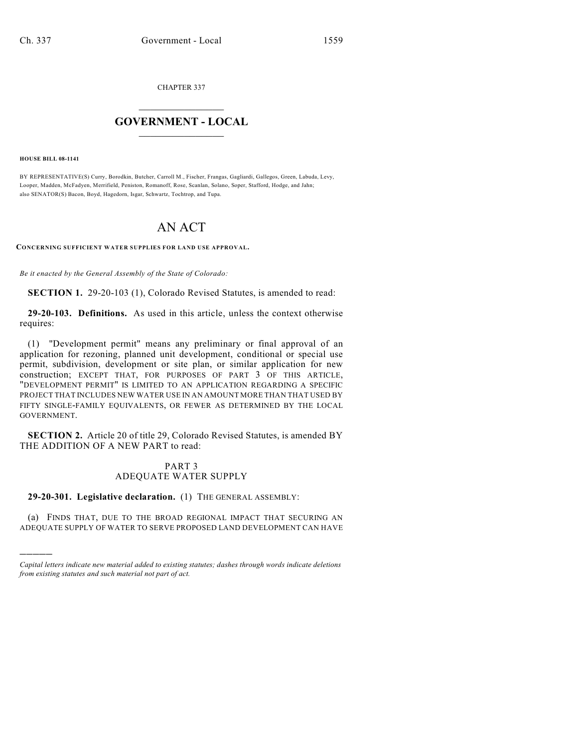CHAPTER 337

## $\mathcal{L}_\text{max}$  . The set of the set of the set of the set of the set of the set of the set of the set of the set of the set of the set of the set of the set of the set of the set of the set of the set of the set of the set **GOVERNMENT - LOCAL**  $\_$

**HOUSE BILL 08-1141**

)))))

BY REPRESENTATIVE(S) Curry, Borodkin, Butcher, Carroll M., Fischer, Frangas, Gagliardi, Gallegos, Green, Labuda, Levy, Looper, Madden, McFadyen, Merrifield, Peniston, Romanoff, Rose, Scanlan, Solano, Soper, Stafford, Hodge, and Jahn; also SENATOR(S) Bacon, Boyd, Hagedorn, Isgar, Schwartz, Tochtrop, and Tupa.

## AN ACT

**CONCERNING SUFFICIENT WATER SUPPLIES FOR LAND USE APPROVAL.**

*Be it enacted by the General Assembly of the State of Colorado:*

**SECTION 1.** 29-20-103 (1), Colorado Revised Statutes, is amended to read:

**29-20-103. Definitions.** As used in this article, unless the context otherwise requires:

(1) "Development permit" means any preliminary or final approval of an application for rezoning, planned unit development, conditional or special use permit, subdivision, development or site plan, or similar application for new construction; EXCEPT THAT, FOR PURPOSES OF PART 3 OF THIS ARTICLE, "DEVELOPMENT PERMIT" IS LIMITED TO AN APPLICATION REGARDING A SPECIFIC PROJECT THAT INCLUDES NEW WATER USE IN AN AMOUNT MORE THAN THAT USED BY FIFTY SINGLE-FAMILY EQUIVALENTS, OR FEWER AS DETERMINED BY THE LOCAL GOVERNMENT.

**SECTION 2.** Article 20 of title 29, Colorado Revised Statutes, is amended BY THE ADDITION OF A NEW PART to read:

## PART 3 ADEQUATE WATER SUPPLY

**29-20-301. Legislative declaration.** (1) THE GENERAL ASSEMBLY:

(a) FINDS THAT, DUE TO THE BROAD REGIONAL IMPACT THAT SECURING AN ADEQUATE SUPPLY OF WATER TO SERVE PROPOSED LAND DEVELOPMENT CAN HAVE

*Capital letters indicate new material added to existing statutes; dashes through words indicate deletions from existing statutes and such material not part of act.*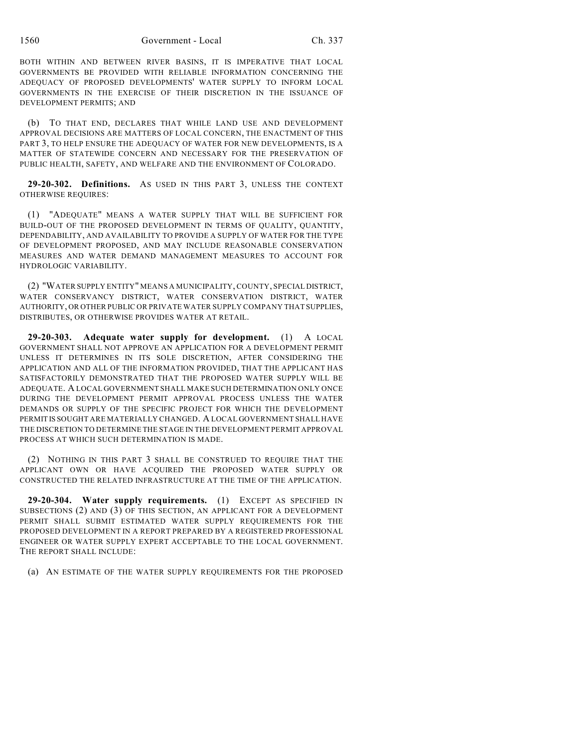1560 Government - Local Ch. 337

BOTH WITHIN AND BETWEEN RIVER BASINS, IT IS IMPERATIVE THAT LOCAL GOVERNMENTS BE PROVIDED WITH RELIABLE INFORMATION CONCERNING THE ADEQUACY OF PROPOSED DEVELOPMENTS' WATER SUPPLY TO INFORM LOCAL GOVERNMENTS IN THE EXERCISE OF THEIR DISCRETION IN THE ISSUANCE OF DEVELOPMENT PERMITS; AND

(b) TO THAT END, DECLARES THAT WHILE LAND USE AND DEVELOPMENT APPROVAL DECISIONS ARE MATTERS OF LOCAL CONCERN, THE ENACTMENT OF THIS PART 3, TO HELP ENSURE THE ADEQUACY OF WATER FOR NEW DEVELOPMENTS, IS A MATTER OF STATEWIDE CONCERN AND NECESSARY FOR THE PRESERVATION OF PUBLIC HEALTH, SAFETY, AND WELFARE AND THE ENVIRONMENT OF COLORADO.

**29-20-302. Definitions.** AS USED IN THIS PART 3, UNLESS THE CONTEXT OTHERWISE REQUIRES:

(1) "ADEQUATE" MEANS A WATER SUPPLY THAT WILL BE SUFFICIENT FOR BUILD-OUT OF THE PROPOSED DEVELOPMENT IN TERMS OF QUALITY, QUANTITY, DEPENDABILITY, AND AVAILABILITY TO PROVIDE A SUPPLY OF WATER FOR THE TYPE OF DEVELOPMENT PROPOSED, AND MAY INCLUDE REASONABLE CONSERVATION MEASURES AND WATER DEMAND MANAGEMENT MEASURES TO ACCOUNT FOR HYDROLOGIC VARIABILITY.

(2) "WATER SUPPLY ENTITY" MEANS A MUNICIPALITY, COUNTY, SPECIAL DISTRICT, WATER CONSERVANCY DISTRICT, WATER CONSERVATION DISTRICT, WATER AUTHORITY, OR OTHER PUBLIC OR PRIVATE WATER SUPPLY COMPANY THAT SUPPLIES, DISTRIBUTES, OR OTHERWISE PROVIDES WATER AT RETAIL.

**29-20-303. Adequate water supply for development.** (1) A LOCAL GOVERNMENT SHALL NOT APPROVE AN APPLICATION FOR A DEVELOPMENT PERMIT UNLESS IT DETERMINES IN ITS SOLE DISCRETION, AFTER CONSIDERING THE APPLICATION AND ALL OF THE INFORMATION PROVIDED, THAT THE APPLICANT HAS SATISFACTORILY DEMONSTRATED THAT THE PROPOSED WATER SUPPLY WILL BE ADEQUATE. A LOCAL GOVERNMENT SHALL MAKE SUCH DETERMINATION ONLY ONCE DURING THE DEVELOPMENT PERMIT APPROVAL PROCESS UNLESS THE WATER DEMANDS OR SUPPLY OF THE SPECIFIC PROJECT FOR WHICH THE DEVELOPMENT PERMIT IS SOUGHT ARE MATERIALLY CHANGED. A LOCAL GOVERNMENT SHALL HAVE THE DISCRETION TO DETERMINE THE STAGE IN THE DEVELOPMENT PERMIT APPROVAL PROCESS AT WHICH SUCH DETERMINATION IS MADE.

(2) NOTHING IN THIS PART 3 SHALL BE CONSTRUED TO REQUIRE THAT THE APPLICANT OWN OR HAVE ACQUIRED THE PROPOSED WATER SUPPLY OR CONSTRUCTED THE RELATED INFRASTRUCTURE AT THE TIME OF THE APPLICATION.

**29-20-304. Water supply requirements.** (1) EXCEPT AS SPECIFIED IN SUBSECTIONS (2) AND (3) OF THIS SECTION, AN APPLICANT FOR A DEVELOPMENT PERMIT SHALL SUBMIT ESTIMATED WATER SUPPLY REQUIREMENTS FOR THE PROPOSED DEVELOPMENT IN A REPORT PREPARED BY A REGISTERED PROFESSIONAL ENGINEER OR WATER SUPPLY EXPERT ACCEPTABLE TO THE LOCAL GOVERNMENT. THE REPORT SHALL INCLUDE:

(a) AN ESTIMATE OF THE WATER SUPPLY REQUIREMENTS FOR THE PROPOSED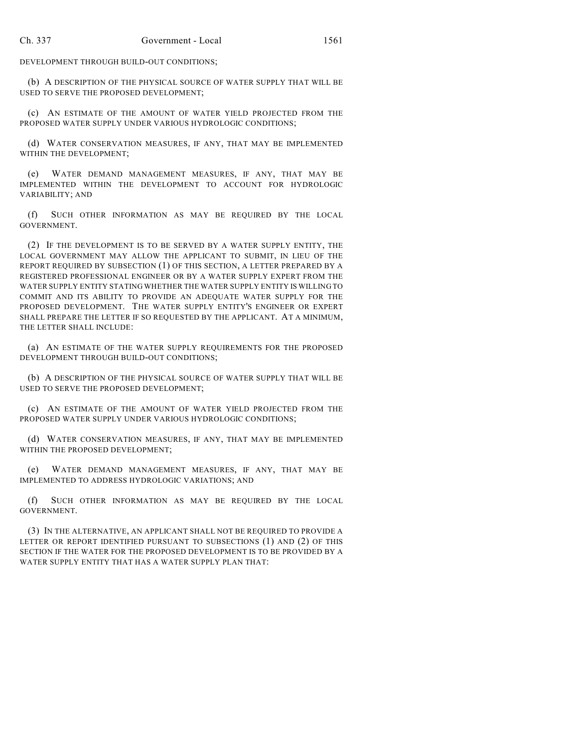DEVELOPMENT THROUGH BUILD-OUT CONDITIONS;

(b) A DESCRIPTION OF THE PHYSICAL SOURCE OF WATER SUPPLY THAT WILL BE USED TO SERVE THE PROPOSED DEVELOPMENT;

(c) AN ESTIMATE OF THE AMOUNT OF WATER YIELD PROJECTED FROM THE PROPOSED WATER SUPPLY UNDER VARIOUS HYDROLOGIC CONDITIONS;

(d) WATER CONSERVATION MEASURES, IF ANY, THAT MAY BE IMPLEMENTED WITHIN THE DEVELOPMENT;

(e) WATER DEMAND MANAGEMENT MEASURES, IF ANY, THAT MAY BE IMPLEMENTED WITHIN THE DEVELOPMENT TO ACCOUNT FOR HYDROLOGIC VARIABILITY; AND

(f) SUCH OTHER INFORMATION AS MAY BE REQUIRED BY THE LOCAL GOVERNMENT.

(2) IF THE DEVELOPMENT IS TO BE SERVED BY A WATER SUPPLY ENTITY, THE LOCAL GOVERNMENT MAY ALLOW THE APPLICANT TO SUBMIT, IN LIEU OF THE REPORT REQUIRED BY SUBSECTION (1) OF THIS SECTION, A LETTER PREPARED BY A REGISTERED PROFESSIONAL ENGINEER OR BY A WATER SUPPLY EXPERT FROM THE WATER SUPPLY ENTITY STATING WHETHER THE WATER SUPPLY ENTITY IS WILLING TO COMMIT AND ITS ABILITY TO PROVIDE AN ADEQUATE WATER SUPPLY FOR THE PROPOSED DEVELOPMENT. THE WATER SUPPLY ENTITY'S ENGINEER OR EXPERT SHALL PREPARE THE LETTER IF SO REQUESTED BY THE APPLICANT. AT A MINIMUM, THE LETTER SHALL INCLUDE:

(a) AN ESTIMATE OF THE WATER SUPPLY REQUIREMENTS FOR THE PROPOSED DEVELOPMENT THROUGH BUILD-OUT CONDITIONS;

(b) A DESCRIPTION OF THE PHYSICAL SOURCE OF WATER SUPPLY THAT WILL BE USED TO SERVE THE PROPOSED DEVELOPMENT;

(c) AN ESTIMATE OF THE AMOUNT OF WATER YIELD PROJECTED FROM THE PROPOSED WATER SUPPLY UNDER VARIOUS HYDROLOGIC CONDITIONS;

(d) WATER CONSERVATION MEASURES, IF ANY, THAT MAY BE IMPLEMENTED WITHIN THE PROPOSED DEVELOPMENT;

(e) WATER DEMAND MANAGEMENT MEASURES, IF ANY, THAT MAY BE IMPLEMENTED TO ADDRESS HYDROLOGIC VARIATIONS; AND

(f) SUCH OTHER INFORMATION AS MAY BE REQUIRED BY THE LOCAL GOVERNMENT.

(3) IN THE ALTERNATIVE, AN APPLICANT SHALL NOT BE REQUIRED TO PROVIDE A LETTER OR REPORT IDENTIFIED PURSUANT TO SUBSECTIONS (1) AND (2) OF THIS SECTION IF THE WATER FOR THE PROPOSED DEVELOPMENT IS TO BE PROVIDED BY A WATER SUPPLY ENTITY THAT HAS A WATER SUPPLY PLAN THAT: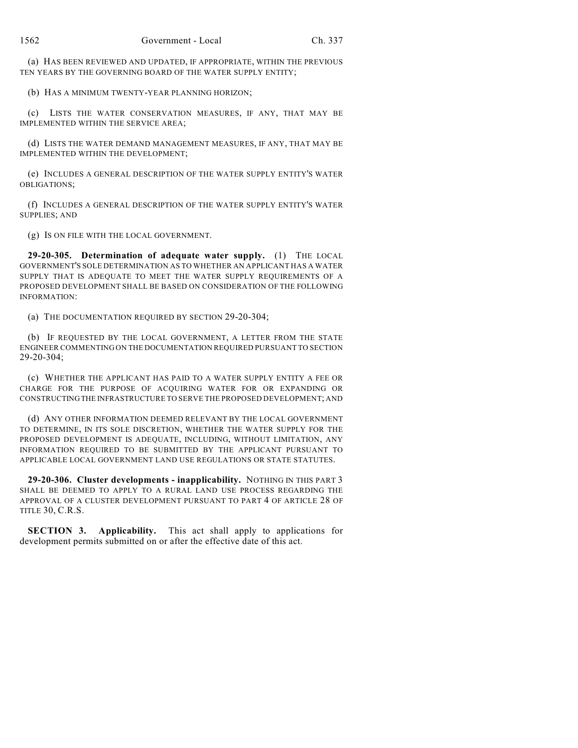(a) HAS BEEN REVIEWED AND UPDATED, IF APPROPRIATE, WITHIN THE PREVIOUS TEN YEARS BY THE GOVERNING BOARD OF THE WATER SUPPLY ENTITY;

(b) HAS A MINIMUM TWENTY-YEAR PLANNING HORIZON;

(c) LISTS THE WATER CONSERVATION MEASURES, IF ANY, THAT MAY BE IMPLEMENTED WITHIN THE SERVICE AREA;

(d) LISTS THE WATER DEMAND MANAGEMENT MEASURES, IF ANY, THAT MAY BE IMPLEMENTED WITHIN THE DEVELOPMENT;

(e) INCLUDES A GENERAL DESCRIPTION OF THE WATER SUPPLY ENTITY'S WATER OBLIGATIONS;

(f) INCLUDES A GENERAL DESCRIPTION OF THE WATER SUPPLY ENTITY'S WATER SUPPLIES; AND

(g) IS ON FILE WITH THE LOCAL GOVERNMENT.

**29-20-305. Determination of adequate water supply.** (1) THE LOCAL GOVERNMENT'S SOLE DETERMINATION AS TO WHETHER AN APPLICANT HAS A WATER SUPPLY THAT IS ADEQUATE TO MEET THE WATER SUPPLY REQUIREMENTS OF A PROPOSED DEVELOPMENT SHALL BE BASED ON CONSIDERATION OF THE FOLLOWING INFORMATION:

(a) THE DOCUMENTATION REQUIRED BY SECTION 29-20-304;

(b) IF REQUESTED BY THE LOCAL GOVERNMENT, A LETTER FROM THE STATE ENGINEER COMMENTING ON THE DOCUMENTATION REQUIRED PURSUANT TO SECTION 29-20-304;

(c) WHETHER THE APPLICANT HAS PAID TO A WATER SUPPLY ENTITY A FEE OR CHARGE FOR THE PURPOSE OF ACQUIRING WATER FOR OR EXPANDING OR CONSTRUCTING THE INFRASTRUCTURE TO SERVE THE PROPOSED DEVELOPMENT; AND

(d) ANY OTHER INFORMATION DEEMED RELEVANT BY THE LOCAL GOVERNMENT TO DETERMINE, IN ITS SOLE DISCRETION, WHETHER THE WATER SUPPLY FOR THE PROPOSED DEVELOPMENT IS ADEQUATE, INCLUDING, WITHOUT LIMITATION, ANY INFORMATION REQUIRED TO BE SUBMITTED BY THE APPLICANT PURSUANT TO APPLICABLE LOCAL GOVERNMENT LAND USE REGULATIONS OR STATE STATUTES.

**29-20-306. Cluster developments - inapplicability.** NOTHING IN THIS PART 3 SHALL BE DEEMED TO APPLY TO A RURAL LAND USE PROCESS REGARDING THE APPROVAL OF A CLUSTER DEVELOPMENT PURSUANT TO PART 4 OF ARTICLE 28 OF TITLE 30, C.R.S.

**SECTION 3. Applicability.** This act shall apply to applications for development permits submitted on or after the effective date of this act.